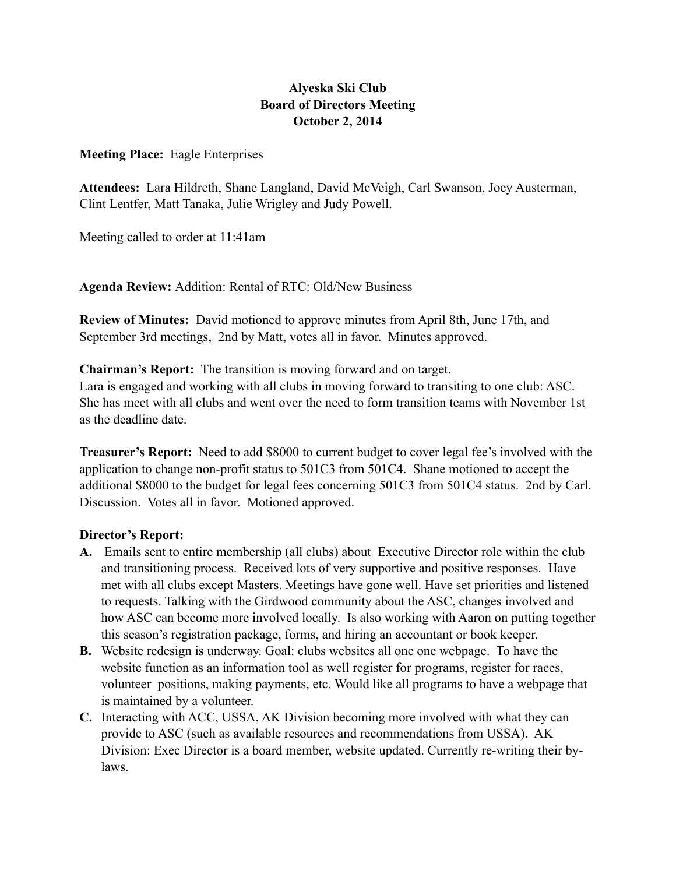## **Alyeska Ski Club Board of Directors Meeting October 2, 2014**

**Meeting Place:** Eagle Enterprises

**Attendees:** Lara Hildreth, Shane Langland, David McVeigh, Carl Swanson, Joey Austerman, Clint Lentfer, Matt Tanaka, Julie Wrigley and Judy Powell.

Meeting called to order at 11:41am

**Agenda Review:** Addition: Rental of RTC: Old/New Business

**Review of Minutes:** David motioned to approve minutes from April 8th, June 17th, and September 3rd meetings, 2nd by Matt, votes all in favor. Minutes approved.

**Chairman's Report:** The transition is moving forward and on target. Lara is engaged and working with all clubs in moving forward to transiting to one club: ASC. She has meet with all clubs and went over the need to form transition teams with November 1st as the deadline date.

**Treasurer's Report:** Need to add \$8000 to current budget to cover legal fee's involved with the application to change non-profit status to 501C3 from 501C4. Shane motioned to accept the additional \$8000 to the budget for legal fees concerning 501C3 from 501C4 status. 2nd by Carl. Discussion. Votes all in favor. Motioned approved.

## **Director's Report:**

- **A.** Emails sent to entire membership (all clubs) about Executive Director role within the club and transitioning process. Received lots of very supportive and positive responses. Have met with all clubs except Masters. Meetings have gone well. Have set priorities and listened to requests. Talking with the Girdwood community about the ASC, changes involved and how ASC can become more involved locally. Is also working with Aaron on putting together this season's registration package, forms, and hiring an accountant or book keeper.
- **B.** Website redesign is underway. Goal: clubs websites all one one webpage. To have the website function as an information tool as well register for programs, register for races, volunteer positions, making payments, etc. Would like all programs to have a webpage that is maintained by a volunteer.
- **C.** Interacting with ACC, USSA, AK Division becoming more involved with what they can provide to ASC (such as available resources and recommendations from USSA). AK Division: Exec Director is a board member, website updated. Currently re-writing their bylaws.